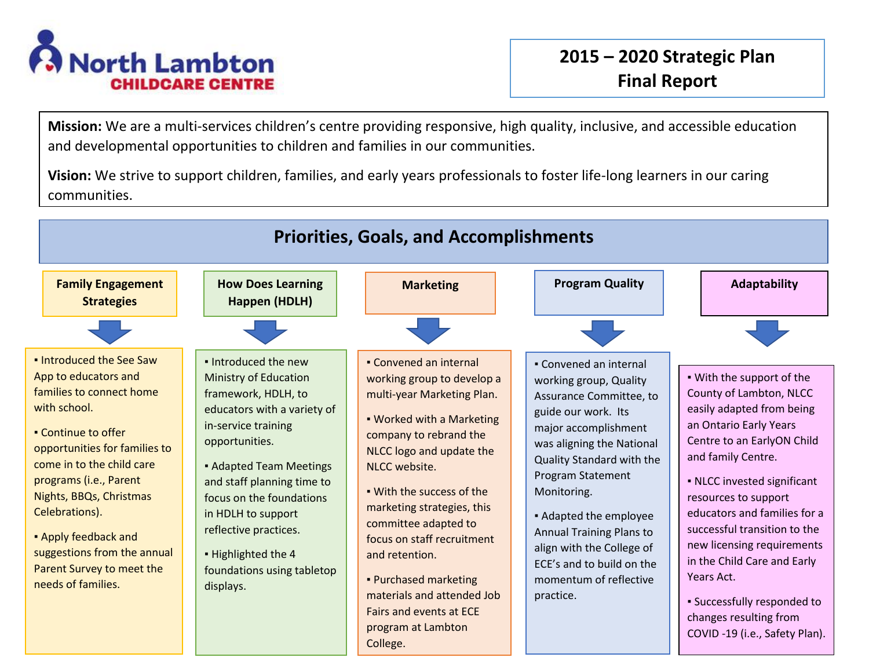

**Mission:** We are a multi-services children's centre providing responsive, high quality, inclusive, and accessible education and developmental opportunities to children and families in our communities.

**Vision:** We strive to support children, families, and early years professionals to foster life-long learners in our caring communities.